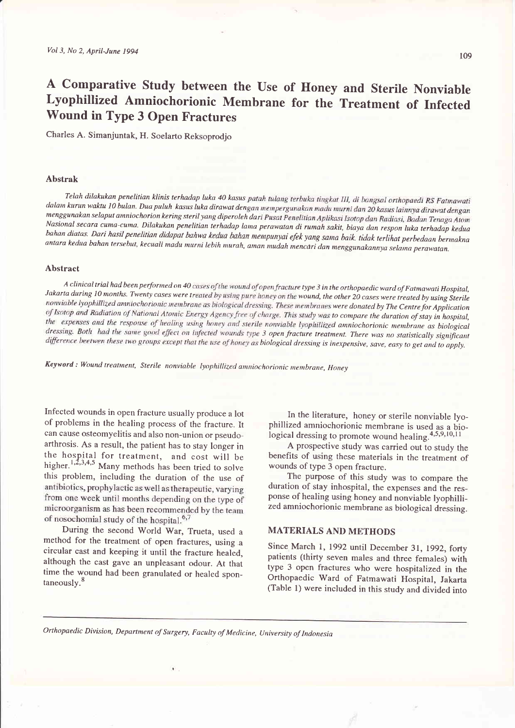# A Comparative Study between the Use of Honey and Sterile Nonviable Lyophillized Amniochorionic Membrane for the Treatment of Infected Wound in Type 3 Open Fractures

Charles A. Simanjuntak, H. Soelarto Reksoprodjo

#### Abstrak

Telah dilakukan penelitian klinis terhadap luka 40 kasus dalam kurun waktu 10 bulan. Dua puluh kasus luka dirawat dengan mempergunakan madu murni dan 20 kasus lainnya dirawat dengan menggunakan selaput amniochorion kering steril yang diperoleh dari Pusat Penelitian Aplikasi Isotop dan Radiasi, Badan Tenaga Atom<br>Nasional secara cuma-cuma. Dilakukan penelitian terhadap lama perawatan di rumah sakit, bia bahan diatas. Dari hasil penelitian didapat bahwa kedua bahan mempunyai efek yang sama baik, tidak terlihat perbedaan bermakna<br>antara kedua bahan tersebut, kecuali madu murni lebih murah, aman mudah mencari dan menggunakan

### Abstract

A clinical trial had been performed on 40 cases of the wound of open fracture type 3 in the orthopaedic ward of Fatmawati Hospital,<br>Jakarta during 10 months. Twenty cases were treated by using pure honey on the wound, the nonviable lyophillized amniochorionic membrane as biological dressing. These membranes were donated by The Centre for Application of Isotop and Radiation of National Atomic Energy Agency free of charge. This study was to compare the duration of stay in hospital, the expenses and the response of healing using honey and sterile nonviable lyophillized amniochorionic membrane as biological dressing. Both had the same good effect on infected wounds type 3 open fracture treatment. There was no statistically significant difference beetwen these two groups except that the use of honey as biological dressing is inexpensive, save, easy to get and to apply.

Keyword: Wound treatment, Sterile nonviable lyophillized amniochorionic membrane, Honey

Infected wounds in open fracture usually produce a lot of problems in the healing process of the fracture. It can cause osteomyelitis and also non-union or pseudo\_ arthrosis. As a result, the patient has to stay longer in the hospital for treatment, and cost will be higher.<sup>1,2,3,4,5</sup> Many methods has been tried to solve this problem, including the duration of the use of antibiotics, prophylactic as well as the rapeutic, varying from one week until months depending on the type of microorganism as has been recommended by the team of nosochomial study of the hospital.<sup>6,7</sup>

During the second World War, Trueta, used <sup>a</sup> method for the treatment of open fractures, using <sup>a</sup> circular cast and keeping it until the fracture healed, although the cast gave an unpleasant odour. At that time the wound had been granulated or healed spon $taneously.<sup>8</sup>$ 

In the literature, honey or sterile nonviable lyophillized amniochorionic membrane is used as a biological dressing to promote wound healing. $4,5,9,10,11$ 

A prospective study was carried out to study the benefits of using these materials in the treatment of wounds of type 3 open fracture.

The purpose of this study was to compare the duration of stay inhospital, the expenses and the response of healing using honey and nonviable lyophilli\_ zed amniochorionic membrane as biological dressing.

## MATERIALS AND METHODS

Since March 1, 1992 until December 31, 1992, forty patients (thirty seven males and three females) with type 3 open fractures who were hospitalized in the Orthopaedic Ward of Fatmawati Hospital, Jakarta (Table l) were included in this study and divided into

Orthopaedic Division, Department of Surgery, Faculty of Medicine, University of Indonesia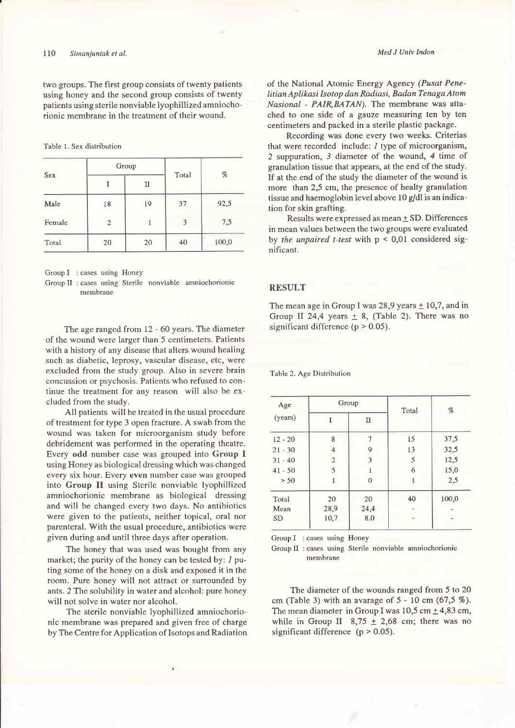two groups. The first group consists of twenty patients using honey and the second group consists of twenty patients using sterile nonviable lyophillized amniochorionic membrane in the treatment of their wound.

Table 1. Sex distribution

| Sex    | Group          |    |       | %     |
|--------|----------------|----|-------|-------|
|        |                | п  | Total |       |
| Male   | 18             | 19 | 37    | 92,5  |
| Female | $\overline{2}$ |    | 3     | 7,5   |
| Total  | 20             | 20 | 40    | 100,0 |

Group I : cases using Honey

Group II : cases using Sterile nonviable amniochorionic membrane

The age ranged from 12 - 60 years. The diameter of the wound were larger than 5 centimeters. Patients with a history of any disease that alters wound healing such as diabetic, leprosy, vascular disease, etc, were excluded from the study group. Also in severe brain concussion or psychosis. Patients who refused to continue the treatment for any reason will also be excluded from the study.

All patients will be treated in the usual procedure of treatment for type 3 open fracture. A swab from the wound was taken for microorganism study before debridement was performed in the operating theatre. Every odd number case was grouped into Group I using Honey as biological dressing which was changed every six hour. Every even number case was grouped into Group II using Sterile nonviable lyophillized amniochorionic membrane as biological dressing and will be changed every two days. No antibiotics were given to the patients, neither topical, oral nor parenteral. With the usual procedure, antibiotics were given during and until three days after operation.

The honey that was used was bought from any market; the purity of the honey can be tested by: I puting some of the honey on a disk and exposed it in the room. Pure honey will not attract or surrounded by ants. 2 The solubility in water and alcohol: pure honey will not solve in water nor alcohol.

The sterile nonviable lyophillized amniochorionic membrane was prepared and given free of charge by The Centre for Application of Isotops and Radiation Med J Univ Indon

of the National Atomic Energy Agency (Pusat Penelitian Aplikasi Isotop dan Radiasi, Badan Tenaga Atom Nasional - PAIR, BATAN). The membrane was attached to one side of a gauze measuring ten by ten centimeters and packed in a sterile plastic package.

Recording was done every two weeks. Criterias that were recorded include: 1 type of microorganism, 2 suppuration, 3 diameter of the wound, 4 time of granulation tissue that appears, at the end of the study. If at the end of the study the diameter of the wound is more than 2,5 cm, the presence of healty granulation tissue and haemoglobin level above 10 g/dl is an indication for skin grafting.

Results were expressed as mean  $\pm$  SD. Differences in mean values between the two groups were evaluated by the unpaired t-test with  $p < 0.01$  considered significant.

#### RESULT

The mean age in Group I was 28,9 years  $\pm$  10,7, and in Group II 24,4 years  $\pm$  8, (Table 2). There was no significant difference ( $p > 0.05$ ).

Table 2. Age Distribution

| Age<br>(years) | Group                   |      | Total | %                   |
|----------------|-------------------------|------|-------|---------------------|
|                |                         | Π    |       |                     |
| $12 - 20$      | 8                       | 7    | 15    | 37,5                |
| $21 - 30$      | $\overline{\mathbf{4}}$ | 9    | 13    | 32,5                |
| $31 - 40$      | $\overline{2}$          | 3    | 5     | 12,5                |
| $41 - 50$      | 5                       |      | 6     | 15,0                |
| > 50           | 1                       | Λ    |       | 2,5                 |
| Total          | 20                      | 20   | 40    | 100,0               |
| Mean           | 28,9                    | 24,4 |       | $\hat{\phantom{a}}$ |
| <b>SD</b>      | 10,7                    | 8.0  |       |                     |

Group I : cases using Honey

Group II : cases using Sterile nonviable amniochorionic membrane

The diameter of the wounds ranged from 5 to 20 cm (Table 3) with an avarage of 5 - 10 cm (67,5 %). The mean diameter in Group I was  $10,5$  cm  $\pm$  4,83 cm, while in Group II 8,75  $\pm$  2,68 cm; there was no significant difference  $(p > 0.05)$ .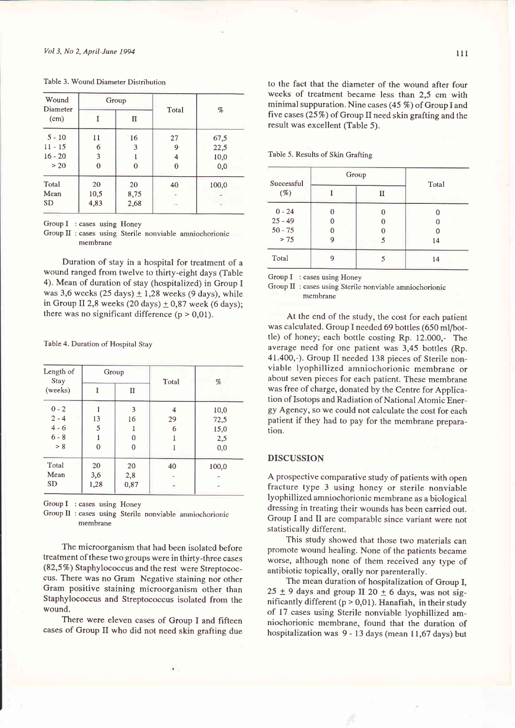| Wound<br>Diameter<br>(cm) | Group |      | Total | %     |
|---------------------------|-------|------|-------|-------|
|                           |       | п    |       |       |
| $5 - 10$                  | 11    | 16   | 27    | 67,5  |
| $11 - 15$                 | 6     | 3    | 9     | 22,5  |
| $16 - 20$                 | 3     |      | 4     | 10,0  |
| > 20                      | 0     | 0    | 0     | 0,0   |
| Total                     | 20    | 20   | 40    | 100,0 |
| Mean                      | 10,5  | 8,75 |       |       |
| <b>SD</b>                 | 4,83  | 2,68 |       |       |

Table 3. Wound Diameter Distribution

Group I : cases using Honey

Group II : cases using Sterile nonviable amniochorionic membrane

Duration of stay in a hospital for treatment of <sup>a</sup> wound ranged from twelve to thirty-eight days (Table 4). Mean of duration of stay (hospitalized) in Group I was 3,6 weeks (25 days)  $\pm$  1,28 weeks (9 days), while in Group II 2,8 weeks (20 days)  $\pm$  0,87 week (6 days); there was no significant difference  $(p > 0.01)$ .

Table 4. Duration of Hospital Stay

| Length of<br>Stay<br>(weeks) | Group          |              | Total | %     |
|------------------------------|----------------|--------------|-------|-------|
|                              |                | $\mathbf{I}$ |       |       |
| $0 - 2$                      |                | 3            | 4     | 10,0  |
| $2 - 4$                      | 13             | 16           | 29    | 72,5  |
| $4 - 6$                      | 5              |              | 6     | 15,0  |
| $6 - 8$                      |                | 0            |       | 2,5   |
| > 8                          | $\overline{0}$ | $\theta$     |       | 0,0   |
| Total                        | 20             | 20           | 40    | 100,0 |
| Mean                         | 3,6            | 2,8          |       | -     |
| <b>SD</b>                    | 1,28           | 0,87         | s     | ×     |

Group I : cases using Honey

Group II : cases using Sterile nonviable amniochorionic membrane

The microorganism that had been isolated before treatment of these two groups were in thirty-three cases  $(82,5\%)$  Staphylococcus and the rest were Streptococcus. There was no Gram Negative staining nor other Gram positive staining microorganism other than Staphylococcus and Streptococcus isolated from the wound.

There were eleven cases of Group I and fifteen cases of Group II who did not need skin grafting due to the fact that the diameter of the wound after four weeks of treatment became less than 2,5 cm with minimal suppuration. Nine cases (45 %) of Group I and five cases  $(25\%)$  of Group II need skin grafting and the result was excellent (Table 5).

Table 5. Results of Skin Grafting

| Successful<br>$(\%)$ |   | Group | Total |
|----------------------|---|-------|-------|
|                      |   | п     |       |
| $0 - 24$             | 0 | C     |       |
| $25 - 49$            | 0 | 0     |       |
| $50 - 75$            | 0 |       |       |
| > 75                 | 9 | 5     | 14    |
| Total                | g |       | 14    |

Group I : cases using Honey

Group II : cases using Sterile nonviable amniochorionic membrane

At the end of the study, the cost for each patient was calculated. Group I needed 69 bottles (650 ml/bottle) of honey; each bottle costing Rp. 12.000,- The average need for one patient was 3,45 bottles (Rp. 41.400,-). Group II needed 138 pieces of Sterile nonviable lyophillized amniochorionic membrane or about seven pieces for each patient. These membrane was free of charge, donated by the Centre for Application of Isotops and Radiation of National Atomic Energy Agency, so we could not calculate the cost for each patient if they had to pay for the membrane preparation.

#### DISCUSSION

A prospective comparative study of patients with open fracture type 3 using honey or sterile nonviable lyophillized amniochorionic membrane as a biological dressing in treating their wounds has been carried out. Group I and II are comparable since variant were not statistically different.

This study showed that those two materials can promote wound healing. None of the patients became worse, although none of them received any type of antibiotic topically, orally nor parenterally.

The mean duration of hospitalization of Group I,  $25 \pm 9$  days and group II 20  $\pm$  6 days, was not significantly different ( $p > 0.01$ ). Hanafiah, in their study of 17 cases using Sterile nonviable lyophillized amniochorionic membrane, found that the duration of hospitalization was 9 - 13 days (mean 11,67 days) but